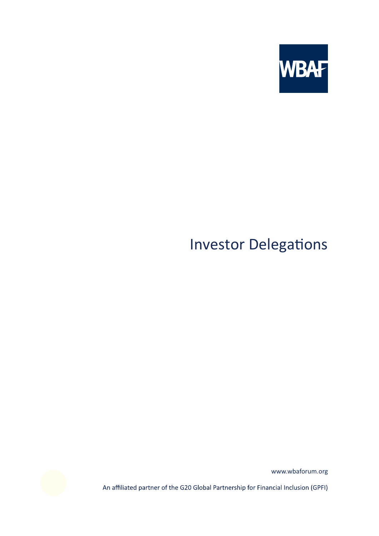

# Investor Delegations



www.wbaforum.org

An affiliated partner of the G20 Global Partnership for Financial Inclusion (GPFI)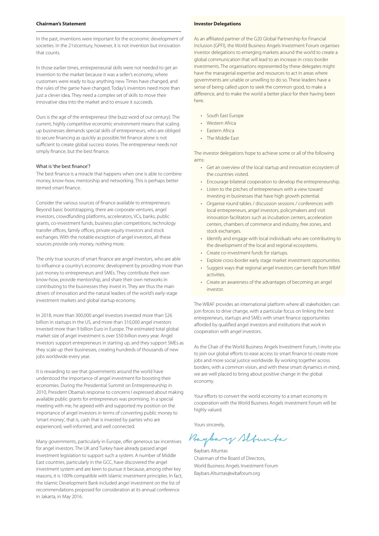### **Chairman's Statement**

In the past, inventions were important for the economic development of societies. In the 21stcentury, however, it is not invention but innovation that counts.

In those earlier times, entrepreneurial skills were not needed to get an invention to the market because it was a seller's economy, where customers were ready to buy anything new. Times have changed, and the rules of the game have changed. Today's inventors need more than just a clever idea. They need a complex set of skills to move their innovative idea into the market and to ensure it succeeds.

Ours is the age of the entrepreneur (the buzz word of our century). The current, highly competitive economic environment means that scaling up businesses demands special skills of entrepreneurs, who are obliged to secure financing as quickly as possible.Yet finance alone is not sufficient to create global success stories. The entrepreneur needs not simply finance, but the best finance.

where the best marrest.<br>The best finance is a miracle that happens when one is able to combine money, know-how, mentorship and networking. This is perhaps better termed smart finance.

Consider the various sources of finance available to entrepreneurs: Beyond basic bootstrapping, there are corporate ventures, angel investors, crowdfunding platforms, accelerators, VCs, banks, public grants, co-investment funds, business plan competitions, technology transfer offices, family offices, private equity investors and stock exchanges. With the notable exception of angel investors, all these sources provide only money, nothing more.

The only true sources of smart finance are angel investors, who are able to influence a country's economic development by providing more than just money to entrepreneurs and SMEs. They contribute their own know-how, provide mentorship, and share their own networks in contributing to the businesses they invest in. They are thus the main drivers of innovation and the natural leaders of the world's early-stage investment markets and global startup economy.

In 2018, more than 300,000 angel investors invested more than \$26 billion in startups in the US, and more than 310,000 angel investors invested more than 9 billion Euro in Europe. The estimated total global market size of angel investment is over \$50 billion every year. Angel investors support entrepreneurs in starting up, and they support SMEs as they scale up their businesses, creating hundreds of thousands of new jobs worldwide every year.

It is rewarding to see that governments around the world have understood the importance of angel investment for boosting their economies. During the Presidential Summit on Entrepreneurship in 2010, President Obama's response to concerns I expressed about making available public grants for entrepreneurs was promising. In a special meeting with me, he agreed with and supported my position on the importance of angel investors in terms of converting public money to 'smart money', that is, cash that is invested by parties who are experienced, well-informed, and well connected.

Many governments, particularly in Europe, offer generous tax incentives for angel investors. The UK and Turkey have already passed angel investment legislation to support such a system. A number of Middle East countries, particularly in the GCC, have discovered the angel investment system and are keen to pursue it because, among other key reasons, it is 100% compatible with Islamic investment principles. In fact, the Islamic Development Bank included angel investment on the list of recommendations proposed for consideration at its annual conference in Jakarta, in May 2016.

#### **Investor Delegations**

As an affiliated partner of the G20 Global Partnership for Financial Inclusion (GPFI), the World Business Angels Investment Forum organises investor delegations to emerging markets around the world to create a global communication that will lead to an increase in cross-border investments. The organisations represented by these delegates might have the managerial expertise and resources to act in areas where governments are unable or unwilling to do so. These leaders have a sense of being called upon to seek the common good, to make a difference, and to make the world a better place for their having been here.

- South East Europe
- Western Africa
- Eastern Africa
- The Middle East

The investor delegations hope to achieve some or all of the following aims:

- Get an overview of the local startup and innovation ecosystem of the countries visited.
- Encourage bilateral cooperation to develop the entrepreneurship.
- Listen to the pitches of entrepreneurs with a view toward investing in businesses that have high growth potential.
- Organise round tables / discussion sessions / conferences with local entrepreneurs, angel investors, policymakers and visit innovation facilitators such as incubation centers, acceleration centers, chambers of commerce and industry, free zones, and stock exchanges.
- Identify and engage with local individuals who are contributing to the development of the local and regional ecosystems.
- Create co-investment funds for startups.
- Explore cross-border early stage market investment opportunities.
- Suggest ways that regional angel investors can benefit from WBAF activities.
- Create an awareness of the advantages of becoming an angel investor.

The WBAF provides an international platform where all stakeholders can join forces to drive change, with a particular focus on linking the best entrepreneurs, startups and SMEs with smart finance opportunities afforded by qualified angel investors and institutions that work in cooperation with angel investors.

As the Chair of the World Business Angels Investment Forum, I invite you to join our global efforts to ease access to smart finance to create more jobs and more social justice worldwide. By working together across borders, with a common vision, and with these smart dynamics in mind, we are well placed to bring about positive change in the global economy.

Your efforts to convert the world economy to a smart economy in cooperation with the World Business Angels Investment Forum will be highly valued.

Yours sincerely,

Buybary Slfunta

Baybars Altuntas Chairman of the Board of Directors, World Business Angels Investment Forum Baybars.Altuntas@wbaforum.org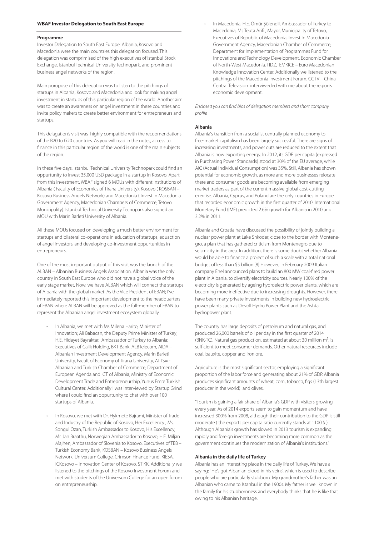#### **Programme**

Investor Delegation to South East Europe: Albania, Kosovo and Macedonia were the main countries this delegation focused. This delegation was comprimised of the high executives of Istanbul Stock Exchange, Istanbul Technical University Technopark, and prominent business angel networks of the region.

Main puropose of this delegation was to listen to the pitchings of startups in Albania, Kosovo and Macedonia and look for making angel investment in startups of this particular region of the world. Another aim was to create an awareness on angel investment in these countries and invite policy makers to create better environment for entrepreneurs and startups.

This delagation's visit was highly compatible with the recoomendations of the B20 to G20 countries. As you will read in the notes, access to finance in this particular region of the world is one of the main subjects of the region.

In these five days, Istanbul Technical University Technopark could find an oppurtunity to invest 35.000 USD package in a startup in Kosovo. Apart from this investment, WBAF signed 6 MOUs with different institutions of Albania ( Faculty of Economics of Tirana University), Kosovo ( KOSBAN – Kosovo Business Angels Network) and Macedonia ( Invest in Macedonia Government Agency, Macedonian Chambers of Commerce, Tetovo Municipality). Istanbul Technical University Tecnopark also signed an MOU with Marin Barleti University of Albania.

All these MOUs focused on developing a much better environment for startups and bilateral co-operations in education of startups, eduaction of angel investors, and developing co-investment oppurtunities in entrepreneurs.

One of the most important output of this visit was the launch of the ALBAN – Albanian Business Angels Association. Albania was the only country in South East Europe who did not have a global voice of the early stage market. Now, we have ALBAN which will connect the startups of Albania with the global market. As the Vice President of EBAN; I've immediately reported this important development to the headquarters of EBAN where ALBAN will be approved as the full-member of EBAN to represent the Albanian angel investment ecosystem globally.

- In Albania, we met with Ms Milena Harito, Minister of Innovation; Ali Babacan, the Deputy Prime Minister of Turkey; H.E. Hidayet Bayraktar, Ambassador of Turkey to Albania; Executives of Calik Holding, BKT Bank, ALBTelecom, AIDA – Albanian Investment Development Agency, Marin Barleti University, Facult of Economy of Tirana University, ATTS= - Albanian and Turkish Chamber of Commerce, Department of European Agenda and ICT of Albania, Ministry of Economic Development Trade and Entrepreneurship, Yunus Emre Turkish Cultural Center. Additionally I was interviewed by Startup Grind where I could find an oppurtunity to chat with over 100 startups of Albania.
- In Kosovo, we met with Dr. Hykmete Bajrami, Minister of Trade and Industry of the Republic of Kosovo, Her Excellency , Ms. Songul Ozan, Turkish Ambassador to Kosovo, His Excellency, Mr. Jan Braathu, Norwegian Ambassador to Kosovo, H.E. Miljan Majhen, Ambassador of Slovenia to Kosovo, Executives of TEB – Turkish Economy Bank, KOSBAN – Kosovo Business Angels Network, Universum College, Crimson Finance Fund, KIESA, ICKosovo – Innovation Center of Kosovo, STIKK. Additionally we listened to the pitchings of the Kosovo Investment Forum and met with students of the Universum College for an open forum on entrepreneurship.

 • In Macedonia, H.E. Ömür Şölendil, Ambassador of Turkey to Macedonia, Ms Teuta Arifi , Mayor, Municipality of Tetovo, Executives of Republic of Macedonia, Invest In Macedonia Government Agency, Macedonian Chamber of Commerce, Department for Implementation of Programmes Fund for Innovations and Technology Development, Economic Chamber of North-West Macedonia, TIDZ, EMKICE – Euro Macedonian Knowledge Innovation Center. Additionally we listened to the pitchings of the Macedonia Investment Forum. CCTV – China Central Television interviweded with me about the region's economic development.

Enclosed you can find bios of delegation members and short company profile

#### **Albania**

Albania's transition from a socialist centrally planned economy to free-market capitalism has been largely successful. There are signs of increasing investments, and power cuts are reduced to the extent that Albania is now exporting energy. In 2012, its GDP per capita (expressed in Purchasing Power Standards) stood at 30% of the EU average, while AIC (Actual Individual Consumption) was 35%. Still, Albania has shown potential for economic growth, as more and more businesses relocate there and consumer goods are becoming available from emerging market traders as part of the current massive global cost-cutting exercise. Albania, Cyprus, and Poland are the only countries in Europe that recorded economic growth in the first quarter of 2010. International Monetary Fund (IMF) predicted 2.6% growth for Albania in 2010 and 3.2% in 2011.

Albania and Croatia have discussed the possibility of jointly building a nuclear power plant at Lake Shkoder, close to the border with Montenegro, a plan that has gathered criticism from Montenegro due to seismicity in the area. In addition, there is some doubt whether Albania would be able to finance a project of such a scale with a total national budget of less than \$5 billion.[8] However, in February 2009 Italian company Enel announced plans to build an 800 MW coal-fired power plant in Albania, to diversify electricity sources. Nearly 100% of the electricity is generated by ageing hydroelectric power plants, which are becoming more ineffective due to increasing droughts. However, there have been many private investments in building new hydroelectric power plants such as Devoll Hydro Power Plant and the Ashta hydropower plant.

The country has large deposits of petroleum and natural gas, and produced 26,000 barrels of oil per day in the first quarter of 2014 (BNK-TC). Natural gas production, estimated at about 30 million  $m^3$ , is sufficient to meet consumer demands. Other natural resources include coal, bauxite, copper and iron ore.

Agriculture is the most significant sector, employing a significant proportion of the labor force and generating about 21% of GDP. Albania produces significant amounts of wheat, corn, tobacco, figs (13th largest producer in the world) and olives.

"Tourism is gaining a fair share of Albania's GDP with visitors growing every year. As of 2014 exports seem to gain momentum and have increased 300% from 2008, although their contribution to the GDP is still moderate ( the exports per capita ratio currently stands at 1100 \$ ) . Although Albania's growth has slowed in 2013 tourism is expanding rapidly and foreign investments are becoming more common as the government continues the modernization of Albania's institutions."

#### **Albania in the daily life of Turkey**

Albania has an interesting place in the daily life of Turkey. We have a saying: ' He's got Albanian blood in his veins', which is used to describe people who are particularly stubborn. My grandmother's father was an Albanian who came to Istanbul in the 1900s. My father is well known in the family for his stubbornness and everybody thinks that he is like that owing to his Albanian heritage.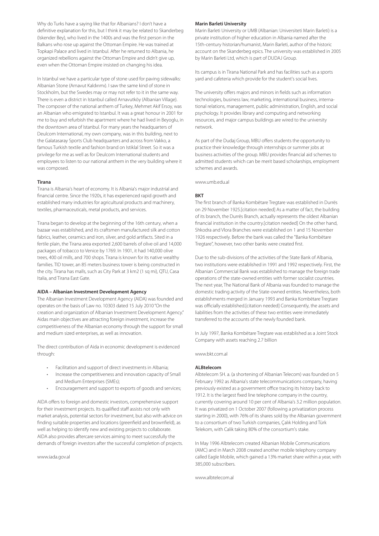Why do Turks have a saying like that for Albanians? I don't have a definitive explanation for this, but l think it may be related to Skanderbeg (Iskender Bey), who lived in the 1400s and was the first person in the Balkans who rose up against the Ottoman Empire. He was trained at Topkapi Palace and lived in Istanbul. After he returned to Albania, he organized rebellions against the Ottoman Empire and didn't give up, even when the Ottoman Empire insisted on changing his idea.

In Istanbul we have a particular type of stone used for paving sidewalks: Albanian Stone (Arnavut Kaldırımı). I saw the same kind of stone in Stockholm, but the Swedes may or may not refer to it in the same way. There is even a district in Istanbul called Arnavutköy (Albanian Village). The composer of the national anthem of Turkey, Mehmet Akif Ersoy, was an Albanian who emigrated to Istanbul. It was a great honour in 2001 for me to buy and refurbish the apartment where he had lived in Beyoglu, in the downtown area of Istanbul. For many years the headquarters of Deulcom International, my own company, was in this building, next to the Galatasaray Sports Club headquarters and across from Vakko, a famous Turkish textile and fashion brand on Istiklal Street. So it was a privilege for me as well as for Deulcom International students and employees to listen to our national anthem in the very building where it was composed.

#### **Tirana**

Tirana is Albania's heart of economy. It is Albania's major industrial and financial centre. Since the 1920s, it has experienced rapid growth and established many industries for agricultural products and machinery, textiles, pharmaceuticals, metal products, and services.

Tirana began to develop at the beginning of the 16th century, when a bazaar was established, and its craftsmen manufactured silk and cotton fabrics, leather, ceramics and iron, silver, and gold artifacts. Sited in a fertile plain, the Tirana area exported 2,600 barrels of olive oil and 14,000 packages of tobacco to Venice by 1769. In 1901, it had 140,000 olive trees, 400 oil mills, and 700 shops. Tirana is known for its native wealthy families. TID tower, an 85 meters business tower is being constructed in the city. Tirana has malls, such as City Park at 3 km2 (1 sq mi), QTU, Casa Italia, and Tirana East Gate.

#### **AIDA – Albanian Investment Development Agency**

The Albanian Investment Development Agency (AIDA) was founded and operates on the basis of Law no. 10303 dated 15 July 2010 "On the creation and organization of Albanian Investment Development Agency." Aidas main objectives are attracting foreign investment, increase the competitiveness of the Albanian economy through the support for small and medium sized enterprises, as well as innovation.

The direct contribution of Aida in economic development is evidenced through:

- Facilitation and support of direct investments in Albania;
- Increase the competitiveness and innovation capacity of Small and Medium Enterprises (SMEs);
- Encouragement and support to exports of goods and services;

AIDA offers to foreign and domestic investors, comprehensive support for their investment projects. Its qualified staff assists not only with market analysis, potential sectors for investment, but also with advice on finding suitable properties and locations (greenfield and brownfield), as well as helping to identify new and existing projects to collaborate. AIDA also provides aftercare services aiming to meet successfully the demands of foreign investors after the successful completion of projects.

www.iada.gov.al

#### **Marin Barleti University**

Marin Barleti University or UMB (Albanian: Universiteti Marin Barleti) is a private institution of higher education in Albania named after the 15th-century historian/humanist, Marin Barleti, author of the historic account on the Skanderbeg epics. The university was established in 2005 by Marin Barleti Ltd, which is part of DUDAJ Group.

Its campus is in Tirana National Park and has facilities such as a sports yard and cafeteria which provide for the student's social lives.

The university offers majors and minors in fields such as information technologies, business law, marketing, international business, international relations, management, public administration, English, and social psychology. It provides library and computing and networking resources, and major campus buildings are wired to the university network.

As part of the Dudaj Group, MBU offers students the opportunity to practice their knowledge through internships or summer jobs at business activities of the group. MBU provides financial aid schemes to admitted students which can be merit based scholarships, employment schemes and awards.

www.umb.edu.al

#### **BKT**

The first branch of Banka Kombëtare Tregtare was established in Durrës on 29 November 1925.[citation needed] As a matter of fact, the building of its branch, the Durrës Branch, actually represents the oldest Albanian financial institution in the country.[citation needed] On the other hand, Shkodra and Vlora Branches were established on 1 and 15 November 1926 respectively. Before the bank was called the "Banka Kombëtare Tregtare", however, two other banks were created first.

Due to the sub-divisions of the activities of the State Bank of Albania, two institutions were established in 1991 and 1992 respectively. First, the Albanian Commercial Bank was established to manage the foreign trade operations of the state-owned entities with former socialist countries. The next year, The National Bank of Albania was founded to manage the domestic trading activity of the State-owned entities. Nevertheless, both establishments merged in January 1993 and Banka Kombëtare Tregtare was officially established.[citation needed] Consequently, the assets and liabilities from the activities of these two entities were immediately transferred to the accounts of the newly founded bank.

In July 1997, Banka Kombëtare Tregtare was established as a Joint Stock Company with assets reaching 2.7 billion

www.bkt.com.al

#### **ALBtelecom**

Albtelecom SH. a. (a shortening of Albanian Telecom) was founded on 5 February 1992 as Albania's state telecommunications company, having previously existed as a government office tracing its history back to 1912. It is the largest fixed line telephone company in the country, currently covering around 10 per cent of Albania's 3.2 million population. It was privatized on 1 October 2007 (following a privatization process starting in 2000), with 76% of its shares sold by the Albanian government to a consortium of two Turkish companies, Çalık Holding and Türk Telekom, with Calik taking 80% of the consortium's stake.

In May 1996 Albtelecom created Albanian Mobile Communications (AMC) and in March 2008 created another mobile telephony company called Eagle Mobile, which gained a 13% market share within a year, with 385,000 subscribers.

www.albtelecom.al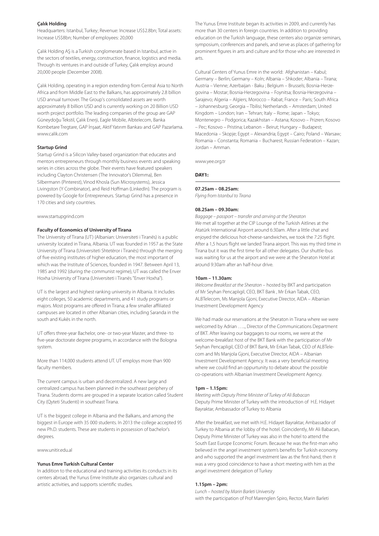#### **Çalık Holding**

Headquarters: Istanbul, Turkey; Revenue: Increase US\$2.8bn; Total assets: Increase US\$8bn; Number of employees: 20,000

Çalık Holding AŞ is a Turkish conglomerate based in Istanbul, active in the sectors of textiles, energy, construction, finance, logistics and media. Through its ventures in and outside of Turkey, Çalık employs around 20,000 people (December 2008).

Çalık Holding, operating in a region extending from Central Asia to North Africa and from Middle East to the Balkans, has approximately 2.8 billion USD annual turnover. The Group's consolidated assets are worth approximately 8 billion USD and is currently working on 20 Billion USD worth project portfolio. The leading companies of the group are GAP Güneydoğu Tekstil, Çalık Enerji, Eagle Mobile, Albtelecom, Banka Kombetare Tregtare, GAP İnşaat, Aktif Yatırım Bankası and GAP Pazarlama. www.calik.com

#### **Startup Grind**

Startup Grind is a Silicon Valley-based organization that educates and mentors entrepreneurs through monthly business events and speaking series in cities across the globe. Their events have featured speakers including Clayton Christensen (The Innovator's Dilemma), Ben Silbermann (Pinterest), Vinod Khosla (Sun Microsystems), Jessica Livingston (Y Combinator), and Reid Hoffman (LinkedIn). The program is powered by Google for Entrepreneurs. Startup Grind has a presence in 170 cities and sixty countries.

www.startupgrind.com

#### **Faculty of Economics of University of Tirana**

The University of Tirana (UT) (Albanian: Universiteti i Tiranës) is a public university located in Tirana, Albania. UT was founded in 1957 as the State University of Tirana (Universiteti Shtetëror i Tiranës) through the merging of five existing institutes of higher education, the most important of which was the Institute of Sciences, founded in 1947. Between April 13, 1985 and 1992 (during the communist regime), UT was called the Enver Hoxha University of Tirana (Universiteti i Tiranës "Enver Hoxha").

UT is the largest and highest ranking university in Albania. It includes eight colleges, 50 academic departments, and 41 study programs or majors. Most programs are offered in Tirana; a few smaller affiliated campuses are located in other Albanian cities, including Saranda in the south and Kukës in the north.

UT offers three-year Bachelor, one- or two-year Master, and three- to five-year doctorate degree programs, in accordance with the Bologna system.

More than 114,000 students attend UT. UT employs more than 900 faculty members.

The current campus is urban and decentralized. A new large and centralized campus has been planned in the southeast periphery of Tirana. Students dorms are grouped in a separate location called Student City (Qyteti Studenti) in southeast Tirana.

UT is the biggest college in Albania and the Balkans, and among the biggest in Europe with 35 000 students. In 2013 the college accepted 95 new Ph.D. students. These are students in possession of bachelor's degrees.

www.unitir.edu.al

#### **Yunus Emre Turkish Cultural Center**

In addition to the educational and training activities its conducts in its centers abroad, the Yunus Emre Institute also organizes cultural and artistic activities, and supports scientific studies.

The Yunus Emre Institute began its activities in 2009, and currently has more than 30 centers in foreign countries. In addition to providing education on the Turkish language, these centers also organize seminars, symposium, conferences and panels, and serve as places of gathering for prominent figures in arts and culture and for those who are interested in arts.

Cultural Centers of Yunus Emre in the world: Afghanistan – Kabul; Germany – Berlin; Germany – Koln; Albania – Shkoder; Albania – Tirana; Austria – Vienne; Azerbaijan - Baku ; Belgium – Brussels; Bosnia-Herzegovina – Mostar; Bosnia-Herzegovina – Foynitsa; Bosnia-Herzegovina – Sarajevo; Algeria – Algiers; Morocco – Rabat; France – Paris; South Africa – Johannesburg; Georgia – Tbilisi; Netherlands – Amsterdam; United Kingdom – London; Iran – Tehran; Italy – Rome; Japan – Tokyo; Montenegro – Podgorica; Kazakhstan – Astana; Kosovo – Prizren; Kosovo – Pec; Kosovo – Pristina; Lebanon – Beirut; Hungary – Budapest; Macedonia – Skopje; Egypt – Alexandria; Egypt – Cairo; Poland – Warsaw; Romania – Constanta; Romania – Bucharest; Russian Federation – Kazan; Jordan – Amman.

www.yee.org.tr

#### **DAY1:**

#### **07.25am – 08.25am:**

Flying from Istanbul to Tirana

#### **08.25am – 09.30am:**

Baggage – passport – transfer and arrving at the Sheraton We met all together at the CIP Lounge of the Turkish Aitlines at the Atatürk International Airporrt around 6:30am. After a little chat and enjoyed the delicious hot-cheese-sandwiches, we took the 7:25 flight. After a 1,5 hours flight we landed Tirana airport. This was my third time in Tirana but it was the first time for all other delegates. Our shuttle-bus was waiting for us at the airport and we were at the Sheraton Hotel at around 9:30am after an half-hour drive.

#### **10am – 11.30am:**

Welcome Breakfast at the Sheraton – hosted by BKT and participation of Mr Seyhan Pencaplıgil, CEO, BKT Bank , Mr Erkan Tabak, CEO, ALBTelecom, Ms Manjola Gjoni, Executive Director, AIDA – Albanian Investment Development Agency

We had made our reservations at the Sheraton in Tirana where we were welcomed by Adrian ….., Director of the Communications Department of BKT. After leaving our baggages to our rooms, we were at the welcome-breakfast host of the BKT Bank with the participation of Mr Seyhan Pencapligil, CEO of BKT Bank, Mr Erkan Tabak, CEO of ALBTelecom and Ms Manjola Gjoni, Executive Director, AIDA – Albanian Investment Development Agency. It was a very beneficial meeting where we could find an oppurtunity to debate about the possible co-operations with Albanian Investment Development Agency.

#### **1pm – 1.15pm:**

Meeting with Deputy Prime Minister of Turkey of Ali Babacan Deputy Prime Minister of Turkey with the introduction of H.E. Hidayet Bayraktar, Ambassador of Turkey to Albania

After the breakfast, we met with H.E. Hidayet Bayraktar, Ambassador of Turkey to Albania at the lobby of the hotel. Coincidently, Mr Ali Babacan, Deputy Prime Minister of Turkey was also in the hotel to attend the South East Europe Economic Forum. Because he was the first-man who believed in the angel investment system's benefits for Turkish economy and who supported the angel investment law as the first-hand, then it was a very good coincidence to have a short meeting with him as the angel investment delegation of Turkey

#### **1.15pm – 2pm:**

Lunch – hosted by Marin Barleti University with the participation of Prof Marenglen Spiro, Rector, Marin Barleti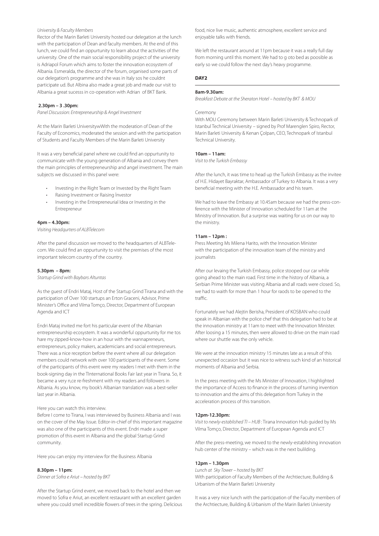#### University & Faculty Members

Rector of the Marin Barleti University hosted our delegation at the lunch with the participation of Dean and faculty members. At the end of this lunch, we could find an oppurtunity to learn about the activities of the university. One of the main social responsibility project of the university is Adriapol Forum which aims to foster the innovation ecosystem of Albania. Esmeralda, the director of the forum, organised some parts of our delegation's programme and she was in Italy sos he couldnt participate ud. But Albina also made a great job and made our visit to Albania a great sucesss in co-operation with Adrian of BKT Bank.

#### **2.30pm – 3 .30pm:**

Panel Discussion: Entrepreneurship & Angel Investment

At the Marin Barleti UniversitywWith the moderation of Dean of the Faculty of Economics, moderated the session and with the participation of Students and Faculty Members of the Marin Barleti University

It was a very beneficial panel where we could find an oppurtunity to communicate with the young generation of Albania and convey them the main principles of entrepreneurship and angel investment. The main subjects we discussed in this panel were:

- Investing in the Right Team or Invested by the Right Team
- Raising Investment or Raising İnvestor
- Investing in the Entrepreneurial Idea or Investing in the Entrepreneur

#### **4pm – 4.30pm:**

Visiting Headqurters of ALBTelecom

After the panel discussion we moved to the headquarters of ALBTelecom. We could find an oppurtunity to visit the premises of the most important telecom country of the country.

#### **5.30pm – 8pm:**

Startup Grind with Baybars Altuntas

As the guest of Endri Mataj, Host of the Startup Grind Tirana and with the participation of Over 100 startups an Erton Graceni, Advisor, Prime Minister's Office and Vilma Tomço, Director, Department of European Agenda and ICT

Endri Mataj invited me fort his particular event of the Albanian entrepreneurship ecosystem. It was a wonderful oppurtunity for me tos hare my zipped-know-how in an hour with the wannapreneurs, entrepreneurs, policy makers, academicians and social entrepreneurs. There was a nice reception before the event where all our delegation members could network with over 100 participants of the event. Some of the participants of this event were my readers I met with them in the book-signing day in the TInternational Books Fair last year in Tirana. So, it became a very n,ce re-freshment with my readers and followers in Albania. As you know, my book's Albanian translation was a best-seller last year in Albania.

#### Here you can watch this interview.

Before I come to Tirana, I was interviewed by Business Albania and I was on the cover of the May Issue. Editor-in-chief of this important magazine was also one of the participants of this event. Endri made a super promotion of this event in Albania and the global Startup Grind community.

Here you can enjoy my interview for the Business Albania

#### **8.30pm – 11pm:**

Dinner at Sofra e Ariut – hosted by BKT

After the Startup Grind event, we moved back to the hotel and then we moved to Sofra e Ariut, an excellent restaurant with an excellent garden where you could smell incredible flowers of trees in the spring. Delicious

food, nice live music, authentic atmosphere, excellent service and enjoyable talks with friends.

We left the restaurant around at 11pm because it was a really full day from morning until this moment. We had to g oto bed as poosible as early so we could follow the next day's heavy programme.

#### **DAY2**

#### **8am-9.30am:**

Breakfast Debate at the Sheraton Hotel – hosted by BKT & MOU

#### Ceremony

With MOU Ceremony between Marin Barleti University & Technopark of Istanbul Technical University – signed by Prof Marenglen Spiro, Rector, Marin Barleti University & Kenan Çolpan, CEO, Technopark of Istanbul Technical University.

#### **10am – 11am:**

Visit to the Turkish Embassy

After the lunch, it was time to head up the Turkish Embassy as the invitee of H.E. Hidayet Bayraktar, Ambassador of Turkey to Albania. It was a very beneficial meeting with the H.E. Ambassador and his team.

We had to leave the Embassy at 10.45am because we had the press-conference with the Minister of Innovation scheduled for 11am at the Ministry of Innovation. But a surprise was waiting for us on our way to the ministry.

#### **11am – 12pm :**

Press Meeting Ms Milena Harito, with the Innovation Minister with the participation of the innovation team of the ministry and journalists

After our levaing the Turkish Embassy, police stooped our car while going ahead to the main road. First time in the history of Albania, a Serbian Prime Minister was visiting Albania and all roads were closed. So, we had to waith for more than 1 hour for raods to be opened to the traffic.

Fortunately we had Alejtin Berisha, President of KOSBAN who could speak in Albanian with the police chef that this delegation had to be at the innovation ministry at 11am to meet with the Innovation Minister. After loosing a 15 minutes, then were allowed to drive on the main road where our shuttle was the only vehicle.

We were at the innovation ministry 15 minutes late as a result of this unexpected occasion but it was nice to witness such kind of an historical moments of Albania and Serbia.

In the press meeting with the Ms Minister of Innovation, I highlighted the importance of Access to finance in the process of turning invention to innovation and the aims of this delegation from Turkey in the acceleration process of this transition.

#### **12pm-12.30pm:**

Visit to newly-established TI – HUB : Tirana Innovation Hub guided by Ms Vilma Tomço, Director, Department of European Agenda and ICT

After the press-meeting, we moved to the newly-establishing innovation hub center of the ministry – which was in the next bulilding.

#### **12pm – 1.30pm**

Lunch at Sky Tower – hosted by BKT With participation of Faculty Members of the Archtiecture, Building & Urbanism of the Marin Barleti University

It was a very nice lunch with the participation of the Faculty members of the Archtiecture, Building & Urbanism of the Marin Barleti University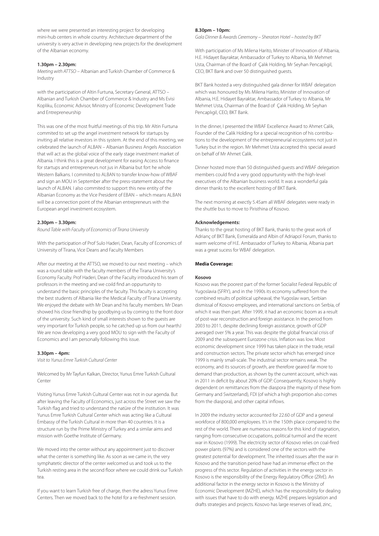where we were presented an interesting project for developing mini-hub centers in whole country. Architecture department of the university is very active in developing new projects for the development of the Albanian economy.

#### **1.30pm – 2.30pm:**

Meeting with ATTSO – Albanian and Turkish Chamber of Commerce & Industry

with the participation of Altin Furtuna, Secretary General, ATTSO – Albanian and Turkish Chamber of Commerce & Industry and Ms Evisi Kopliku, Economic Advisor, Ministry of Economic Development Trade and Entrepreneurship

This was one of the most fruitful meetings of this trip. Mr Altin Furtuna commited to set up the angel investment network for startups by inviting all relative investors in this system. At the end of this meeting, we celebrated the launch of ALBAN – Albanian Business Angels Association that will act as the global voice of the early stage investment market of Albania. I think this is a great development for easing Access to finance for startups and entrepreneurs not jus in Albania but fort he whole Western Balkans. I commited to ALBAN to transfer know-how of WBAF and sign an MOU in September after the press-statement about the launch of ALBAN. I also commited to support this new entity of the Albanian Economy as the Vice President of EBAN – which means ALBAN will be a connection point of the Albanian entrepreneurs with the European angel investment ecosystem.

#### **2.30pm – 3.30pm:**

Round Table with Faculty of Economics of Tirana University

With the participation of Prof Sulo Haderi, Dean, Faculty of Economics of University of Tirana, Vice Deans and Faculty Members

After our meeting at the ATTSO, we moved to our next meeting – which was a round table with the faculty members of the Tirana University's Economy Faculty. Prof Haderi, Dean of the Faculty introduced his team of professors in the meeting and we coıld find an oppurtunity to understand the basic principles of the faculty. This faculty is accepting the best students of Albania like the Medical Faculty of Tirana University. We enjoyed the debate with Mr Dean and his faculty members. Mr Dean showed his close friendhip by goodbying us by coming to the front door of the university. Such kind of small interests shown to the guests are very important for Turkish people, so he catched up us from our hearthJ We are now developing a very good MOU to sign with the Faculty of Economics and I am personally following this issue.

#### **3.30pm – 4pm:**

Visit to Yunus Emre Turkish Cultural Center

Welcomed by Mr Tayfun Kalkan, Director, Yunus Emre Turkish Cultural Center

Visiting Yunus Emre Turkish Cultural Center was not in our agenda. But after leaving the Faculty of Economics, just across the Street we saw the Turkish flag and tried to understand the natüre of the institution. It was Yunus Emre Turkish Cultural Center which was acting like a Cultural Embassy of the Turkish Cultural in more than 40 countries. It is a structure run by the Prime Ministry of Turkey and a similar aims and mission with Goethe Institute of Germany.

We moved into the center without any appointment just to discover what the center is something like. As soon as we came in, the very symphatetic director of the center welcomed us and took us to the Turkish resting area in the second floor where we could drink our Turkish tea.

If you want to learn Turkish free of charge, then the adress Yunus Emre Centers. Then we moved back to the hotel for a re-freshment session.

#### **8.30pm – 10pm:**

Gala Dinner & Awards Ceremony – Sheraton Hotel – hosted by BKT

With participation of Ms Milena Harito, Minister of Innovation of Albania, H.E. Hidayet Bayraktar, Ambassador of Turkey to Albania, Mr Mehmet Usta, Chairman of the Board of Çalık Holding, Mr Seyhan Pencaplıgil, CEO, BKT Bank and over 50 distinguished guests.

BKT Bank hosted a very distinguished gala dinner for WBAF delegation which was honoured by Ms Milena Harito, Minister of Innovation of Albania, H.E. Hidayet Bayraktar, Ambassador of Turkey to Albania, Mr Mehmet Usta, Chairman of the Board of Çalık Holding, Mr Seyhan Pencaplıgil, CEO, BKT Bank.

In the dinner, I presented the WBAF Excellence Award to Ahmet Calik, Founder of the Calik Holding for a special recognition of his contributions to the development of the entrepreneurial ecosystems not just in Turkey but in the region. Mr Mehmet Usta accepted this special award on behalf of Mr Ahmet Calik.

Dinner hosted more than 50 distinguished guests and WBAF delegation members could find a very good oppurtunity with the high-level executives of the Albanian business world. It was a wonderful gala dinner thanks to the excellent hosting of BKT Bank.

The next morning at exectly 5.45am all WBAF delegates were ready in the shuttle bus to move to Piristhina of Kosovo.

#### **Acknowledgements:**

Thanks to the great hosting of BKT Bank, thanks to the great work of Adrianç of BKT Bank, Esmeralda and Albin of Adriapol Forum, thanks to warm welcome of H.E. Ambassador of Turkey to Albania, Albania part was a great sucess for WBAF delegation.

#### **Media Coverage:**

#### **Kosovo**

Kosovo was the poorest part of the former Socialist Federal Republic of Yugoslavia (SFRY), and in the 1990s its economy suffered from the combined results of political upheaval, the Yugoslav wars, Serbian dismissal of Kosovo employees, and international sanctions on Serbia, of which it was then part. After 1999, it had an economic boom as a result of post-war reconstruction and foreign assistance. In the period from 2003 to 2011, despite declining foreign assistance, growth of GDP averaged over 5% a year. This was despite the global financial crisis of 2009 and the subsequent Eurozone crisis. Inflation was low. Most economic development since 1999 has taken place in the trade, retail and construction sectors. The private sector which has emerged since 1999 is mainly small-scale. The industrial sector remains weak. The economy, and its sources of growth, are therefore geared far more to demand than production, as shown by the current account, which was in 2011 in deficit by about 20% of GDP. Consequently, Kosovo is highly dependent on remittances from the diaspora (the majority of these from Germany and Switzerland), FDI (of which a high proportion also comes from the diaspora), and other capital inflows.

In 2009 the industry sector accounted for 22.60 of GDP and a general workforce of 800,000 employees. It's in the 150th place compared to the rest of the world. There are numerous reasons for this kind of stagnation, ranging from consecutive occupations, political turmoil and the recent war in Kosovo (1999). The electricity sector of Kosovo relies on coal-fired power plants (97%) and is considered one of the sectors with the greatest potential for development. The inherited issues after the war in Kosovo and the transition period have had an immense effect on the progress of this sector. Regulation of activities in the energy sector in Kosovo is the responsibility of the Energy Regulatory Office (ZRrE). An additional factor in the energy sector in Kosovo is the Ministry of Economic Development (MZHE), which has the responsibility for dealing with issues that have to do with energy. MZHE prepares legislation and drafts strategies and projects. Kosovo has large reserves of lead, zinc,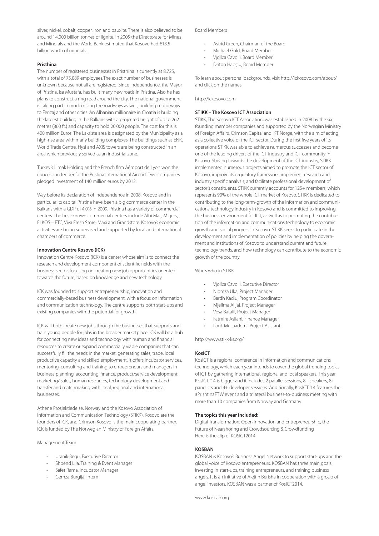silver, nickel, cobalt, copper, iron and bauxite. There is also believed to be around 14,000 billion tonnes of lignite. In 2005 the Directorate for Mines and Minerals and the World Bank estimated that Kosovo had €13.5 billion worth of minerals.

#### **Pristhina**

The number of registered businesses in Pristhina is currently at 8,725, with a total of 75,089 employees.The exact number of businesses is unknown because not all are registered. Since independence, the Mayor of Pristina, Isa Mustafa, has built many new roads in Pristina. Also he has plans to construct a ring road around the city. The national government is taking part in modernising the roadways as well, building motorways to Ferizaj and other cities. An Albanian millionaire in Croatia is building the largest building in the Balkans with a projected height of up to 262 metres (860 ft.) and capacity to hold 20,000 people. The cost for this is 400 million Euros. The Lakriste area is designated by the Municipality as a high-rise area with many building complexes. The buildings such as ENK, World Trade Centre, Hysi and AXIS towers are being constructed in an area which previously served as an industrial zone.

Turkey's Limak Holding and the French firm Aéroport de Lyon won the concession tender for the Pristina International Airport. Two companies pledged investment of 140 million euros by 2012.

Way before its declaration of independence in 2008, Kosovo and in particular its capital Pristina have been a big commerce center in the Balkans with a GDP of 4.0% in 2009. Pristina has a variety of commercial centers. The best-known commercial centres include Albi Mall, Migros, ELKOS – ETC, Viva Fresh Store, Maxi and Grandstore. Kosovo's economic activities are being supervised and supported by local and international chambers of commerce.

#### **Innovation Centre Kosovo (ICK)**

Innovation Centre Kosovo (ICK) is a center whose aim is to connect the research and development component of scientific fields with the business sector, focusing on creating new job opportunities oriented towards the future, based on knowledge and new technology.

ICK was founded to support entrepreneurship, innovation and commercially-based business development, with a focus on information and communication technology. The centre supports both start-ups and existing companies with the potential for growth.

ICK will both create new jobs through the businesses that supports and train young people for jobs in the broader marketplace. ICK will be a hub for connecting new ideas and technology with human and financial resources to create or expand commercially viable companies that can successfully fill the needs in the market, generating sales, trade, local productive capacity and skilled employment. It offers incubator services, mentoring, consulting and training to entrepreneurs and managers in business planning, accounting, finance, product/service development, marketing/ sales, human resources, technology development and transfer and matchmaking with local, regional and international businesses.

Athene Prosjektledelse, Norway and the Kosovo Association of Information and Communication Technology (STIKK), Kosovo are the founders of ICK, and Crimson Kosovo is the main cooperating partner. ICK is funded by The Norwegian Ministry of Foreign Affairs.

#### Management Team

- Uranik Begu, Executive Director
- Shpend Lila, Training & Event Manager
- Safet Rama, Incubator Manager
- Gemza Burgija, Intern

#### Board Members

- Astrid Green, Chairman of the Board
- Michael Gold, Board Member
- Vjollca Çavolli, Board Member
- Driton Hapçiu, Board Member

To learn about personal backgrounds, visit http://ickosovo.com/about/ and click on the names.

http://ickosovo.com

#### **STIKK – The Kosovo ICT Association**

STIKK, The Kosovo ICT Association, was established in 2008 by the six founding member companies and supported by the Norwegian Ministry of Foreign Affairs, Crimson Capital and IKT Norge, with the aim of acting as a collective voice of the ICT sector. During the first five years of its operations STIKK was able to achieve numerous successes and become one of the leading drivers of the ICT industry and ICT community in Kosovo. Striving towards the development of the ICT industry, STIKK implemented numerous projects aimed to promote the ICT sector of Kosovo, improve its regulatory framework, implement research and industry specific analysis, and facilitate professional development of sector's constituents. STIKK currently accounts for 125+ members, which represents 90% of the whole ICT market of Kosovo. STIKK is dedicated to contributing to the long-term-growth of the information and communications technology industry in Kosovo and is committed to improving the business environment for ICT, as well as to promoting the contribution of the information and communications technology to economic growth and social progress in Kosovo. STIKK seeks to participate in the development and implementation of policies by helping the government and institutions of Kosovo to understand current and future technology trends, and how technology can contribute to the economic growth of the country.

Who's who in STIKK

- Vjollca Çavolli, Executive Director
- Njomza Uka, Project Manager
- Bardh Kadiu, Program Coordinator
- Mjellma Alijaj, Project Manager
- Vesa Batalli, Project Manager
- Fatmire Asllani, Finance Manager • Lorik Mullaademi, Project Asistant

http://www.stikk-ks.org/

#### **KosICT**

KosICT is a regional conference in information and communications technology, which each year intends to cover the global trending topics of ICT by gathering international, regional and local speakers. This year, KosICT '14 is bigger and it includes 2 parallel sessions, 8+ speakers, 8+ panelists and 4+ developer sessions. Additionally, KosICT '14 features the #PrishtinaFTW event and a trilateral business-to-business meeting with more than 10 companies from Norway and Germany.

#### **The topics this year included:**

Digital Transformation, Open Innovation and Entrepreneurship, the Future of Nearshoring and Crowdsourcing & Crowdfunding Here is the clip of KOSICT2014

#### **KOSBAN**

KOSBAN is Kosovo's Business Angel Network to support start-ups and the global voice of Kosovo entrepreneurs. KOSBAN has three main goals: investing in start-ups, training entrepreneurs, and training business angels. It is an initiative of Alejtin Berisha in cooperation with a group of angel investors. KOSBAN was a partner of KosICT2014.

www.kosban.org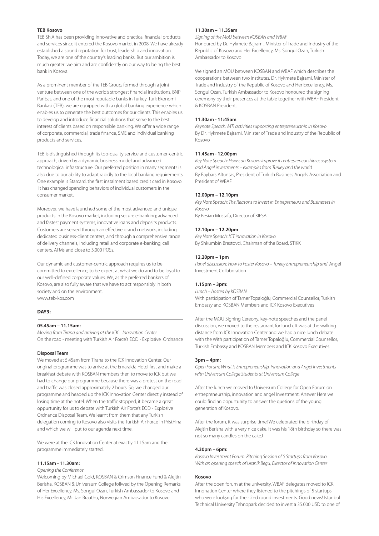#### **TEB Kosovo**

TEB Sh.A has been providing innovative and practical financial products and services since it entered the Kosovo market in 2008. We have already established a sound reputation for trust, leadership and innovation. Today, we are one of the country's leading banks. But our ambition is much greater: we aim and are confidently on our way to being the best bank in Kosova.

As a prominent member of the TEB Group, formed through a joint venture between one of the world's strongest financial institutions, BNP Paribas, and one of the most reputable banks in Turkey, Turk Ekonomi Bankasi (TEB), we are equipped with a global banking experience which enables us to generate the best outcomes for our clients. This enables us to develop and introduce financial solutions that serve to the best interest of clients based on responsible banking. We offer a wide range of corporate, commercial, trade finance, SME and individual banking products and services.

TEB is distinguished through its top-quality service and customer-centric approach, driven by a dynamic business model and advanced technological infrastructure. Our preferred position in many segments is also due to our ability to adapt rapidly to the local banking requirements. One example is Starcard, the first instalment based credit card in Kosovo. It has changed spending behaviors of individual customers in the consumer market.

Moreover, we have launched some of the most advanced and unique products in the Kosovo market, including secure e-banking; advanced and fastest payment systems; innovative loans and deposits products. Customers are served through an effective branch network, including dedicated business-client centers, and through a comprehensive range of delivery channels, including retail and corporate e-banking, call centers, ATMs and close to 3,000 POSs.

Our dynamic and customer-centric approach requires us to be committed to excellence, to be expert at what we do and to be loyal to our well-defined corporate values. We, as the preferred bankers of Kosovo, are also fully aware that we have to act responsibly in both society and on the environment. www.teb-kos.com

#### **DAY3:**

#### **05.45am – 11.15am:**

Moving from Tirana and arriving at the ICK – Innovation Center On the road - meeting with Turkish Air Force's EOD - Explosive Ordnance

#### **Disposal Team**

We moved at 5.45am from Tirana to the ICK Innovation Center. Our original programme was to arrive at the Emaralda Hotel first and make a breakfast debate with KOSBAN members then to move to ICK but we had to change our programme because there was a protest on the road and traffic was closed approximately 2 hours. So, we changed our programme and headed up the ICK Innovation Center directly instead of losing time at the hotel. When the traffic stopped, it became a great oppurtunity for us to debate with Turkish Air Force's EOD - Explosive Ordnance Disposal Team. We learnt from them that any Turkish delegation coming to Kosovo also visits the Turkish Air Force in Pristhina and which we will put to our agenda next time.

We were at the ICK Innovation Center at exactly 11.15am and the programme immediately started.

#### **11.15am - 11.30am:**

#### Opening the Conference

Welcoming by Michael Gold, KOSBAN & Crimson Finance Fund & Alejtin Berisha, KOSBAN & Universum College follwed by the Opening Remarks of Her Excellency, Ms. Songul Ozan, Turkish Ambassador to Kosovo and His Excellency, Mr. Jan Braathu, Norwegian Ambassador to Kosovo

#### **11.30am – 11.35am**

Signing of the MoU between KOSBAN and WBAF Honoured by Dr. Hykmete Bajrami, Minister of Trade and Industry of the Republic of Kosovo and Her Excellency, Ms. Songul Ozan, Turkish Ambassador to Kosovo

We signed an MOU between KOSBAN and WBAF which describes the cooperations between two institutes. Dr. Hykmete Bajrami, Minister of Trade and Industry of the Republic of Kosovo and Her Excellency, Ms. Songul Ozan, Turkish Ambassador to Kosovo honoured the signing ceremony by their presences at the table together with WBAF President & KOSBAN President.

#### **11.30am - 11:45am**

Keynote Speach: MTI activities supporting entrepreneurship in Kosovo By Dr. Hykmete Bajrami, Minister of Trade and Industry of the Republic of Kosovo

#### **11.45am - 12.00pm**

Key Note Speach: How can Kosovo improve its entrepreneurship ecosystem and Angel investments – examples from Turkey and the world By Baybars Altuntas, President of Turkish Business Angels Association and President of WBAF

#### **12.00pm – 12.10pm**

Key Note Speach: The Reasons to Invest in Entrepreneurs and Businesses in Kosovo By Besian Mustafa, Director of KIESA

#### **12.10pm – 12.20pm**

Key Note Speach: ICT innovation in Kosovo By Shkumbin Brestovci, Chairman of the Board, STIKK

#### **12.20pm – 1pm**

Panel discussion: How to Foster Kosovo – Turkey Entrepreneurship and Angel Investment Collaboration

#### **1.15pm – 3pm:**

Lunch – hosted by KOSBAN With participation of Tamer Topaloğlu, Commercial Counsellor, Turkish Embassy and KOSBAN Members and ICK Kosovo Executives

After the MOU Signing Cereony, key-note speeches and the panel discussion, we moved to the restaurant for lunch. It was at the walking distance from ICK Innovation Center and we had a nice lunch debate with the With participation of Tamer Topaloğlu, Commercial Counsellor, Turkish Embassy and KOSBAN Members and ICK Kosovo Executives.

#### **3pm – 4pm:**

Open Forum: What is Entrepreneurship, Innovation and Angel Investments with Universum College Students at Universum College

After the lunch we moved to Universum College for Open Forum on entrepreneurship, innovation and angel Investment. Answer Here we could find an oppurtunity to answer the quetions of the young generation of Kosovo.

After the forum, it was surprise time! We celebrated the birthday of Alejtin Berisha with a very nice cake. It was his 18th birthday so there was not so many candles on the cakeJ

#### **4.30pm – 6pm:**

Kosovo Investment Forum: Pitching Session of 5 Startups from Kosovo With an opening speech of Uranik Begu, Director of Innovation Center

#### **Kosovo**

After the open forum at the university, WBAF delegates moved to ICK Innonation Center where they listened to the pitchings of 5 startups who were lookşng for their 2nd round investments. Good news! Istanbul Technical University Tehnopark decided to invest a 35.000 USD to one of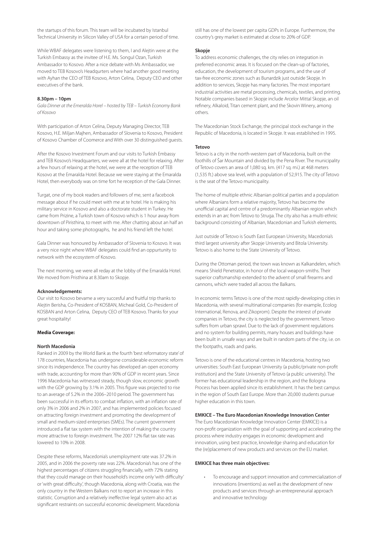the startups of this forum. This team will be incubated by Istanbul Technical University in Silicon Valley of USA for a certain period of time.

While WBAF delegates were listening to them, I and Alejtin were at the Turkish Embassy as the invitee of H.E. Ms. Songul Ozan, Turkish Ambassador to Kosovo. After a nice debate with Ms Ambassador, we moved to TEB Kosovo's Headqurters where had another good meeting with Ayhan the CEO of TEB Kosovo, Arton Celina, Deputy CEO and other executives of the bank.

#### **8.30pm – 10pm**

Gala Dinner at the Emeralda Horel – hosted by TEB – Turkish Economy Bank of Kosovo

With participation of Arton Celina, Deputy Managing Director, TEB Kosovo, H.E. Miljan Majhen, Ambassador of Slovenia to Kosovo, President of Kosovo Chamber of Coomerce and With over 30 distinguished guests.

After the Kosovo Investment Forum and our visits to Turkish Embassy and TEB Kosovo's Headquarters, we were all at the hotel for relaxing. After a few hours of relaxing at the hotel, we were at the reception of TEB Kosovo at the Emaralda Hotel. Because we were staying at the Emaralda Hotel, then everybody was on time fort he reception of the Gala Dinner.

Turgat, one of my book readers and followers of me, sent a facebook message about if he could meet with me at te hotel. He is making his military service in Kosovo and also a doctorate student in Turkey. He came from Prizine, a Turkish town of Kosovo which is 1 hour away from downtown of Piristhina, to meet with me. After chatting about an half an hour and taking some photographs, he and his friend left the hotel.

Gala Dinner was honoured by Ambassador of Slovenia to Kosovo. It was a very nice night where WBAF delegates could find an oppurtunity to network with the ecosystem of Kosovo.

The next morning, we were all reday at the lobby of the Emaralda Hotel. We moved from Pristhina at 8.30am to Skopje.

#### **Acknowledgements:**

Our visit to Kosovo bevame a very succesful and fruitful trip thanks to Alejtin Berisha, Co-President of KOSBAN, Micheal Gold, Co-President of KOSBAN and Arton Celina, Deputy CEO of TEB Kosovo. Thanks for your great hospitality!

#### **Media Coverage:**

#### **North Macedonia**

Ranked in 2009 by the World Bank as the fourth 'best reformatory state' of 178 countries, Macedonia has undergone considerable economic reform since its independence. The country has developed an open economy with trade, accounting for more than 90% of GDP in recent years. Since 1996 Macedonia has witnessed steady, though slow, economic growth with the GDP growing by 3.1% in 2005. This figure was projected to rise to an average of 5.2% in the 2006–2010 period. The government has been successful in its efforts to combat inflation, with an inflation rate of only 3% in 2006 and 2% in 2007, and has implemented policies focused on attracting foreign investment and promoting the development of small and medium-sized enterprises (SMEs). The current government introduced a flat tax system with the intention of making the country more attractive to foreign investment. The 2007 12% flat tax rate was lowered to 10% in 2008.

Despite these reforms, Macedonia's unemployment rate was 37.2% in 2005, and in 2006 the poverty rate was 22%. Macedonia's has one of the highest percentages of citizens struggling financially, with 72% stating that they could manage on their household's income only 'with difficulty' or 'with great difficulty', though Macedonia, along with Croatia, was the only country in the Western Balkans not to report an increase in this statistic. Corruption and a relatively ineffective legal system also act as significant restraints on successful economic development. Macedonia

still has one of the lowest per capita GDPs in Europe. Furthermore, the country's grey market is estimated at close to 20% of GDP.

#### **Skopje**

To address economic challenges, the city relies on integration in preferred economic areas. It is focused on the clean-up of factories, education, the development of tourism programs, and the use of tax-free economic zones such as Bunardzik just outside Skopje. In addition to services, Skopje has many factories. The most important industrial activities are metal processing, chemicals, textiles, and printing. Notable companies based in Skopje include Arcelor Mittal Skopje, an oil refinery, Alkaloid, Titan cement plant, and the Skovin Winery, among others.

The Macedonian Stock Exchange, the principal stock exchange in the Republic of Macedonia, is located in Skopje. It was established in 1995.

#### **Tetovo**

Tetovo is a city in the north-western part of Macedonia, built on the foothills of Šar Mountain and divided by the Pena River. The municipality of Tetovo covers an area of 1,080 sq. km. (417 sq. mi.) at 468 meters (1,535 ft.) above sea level, with a population of 52,915. The city of Tetovo is the seat of the Tetovo municipality.

The home of multiple ethnic Albanian political parties and a population where Albanians form a relative majority, Tetovo has become the unofficial capital and centre of a predominantly Albanian region which extends in an arc from Tetovo to Struga. The city also has a multi-ethnic background consisting of Albanian, Macedonian and Turkish elements.

Just outside of Tetovo is South East European University, Macedonia's third largest university after Skopje University and Bitola University. Tetovo is also home to the State University of Tetovo.

During the Ottoman period, the town was known as Kalkandelen, which means Shield Penetrator, in honor of the local weapon-smiths. Their superior craftsmanship extended to the advent of small firearms and cannons, which were traded all across the Balkans.

In economic terms Tetovo is one of the most rapidly-developing cities in Macedonia, with several multinational companies (for example, Ecolog International, Renova, and Zikoprom). Despite the interest of private companies in Tetovo, the city is neglected by the government. Tetovo suffers from urban sprawl. Due to the lack of government regulations and no system for building permits, many houses and buildings have been built in unsafe ways and are built in random parts of the city, i.e. on the footpaths, roads and parks.

Tetovo is one of the educational centres in Macedonia, hosting two universities: South East European University (a public/private non-profit institution) and the State University of Tetovo (a public university). The former has educational leadership in the region, and the Bologna Process has been applied since its establishment. It has the best campus in the region of South East Europe. More than 20,000 students pursue higher education in this town.

#### **EMKICE – The Euro Macedonian Knowledge Innovation Center**

The Euro Macedonian Knowledge Innovation Center (EMKICE) is a non-profit organization with the goal of supporting and accelerating the process where industry engages in economic development and innovation, using best practice, knowledge sharing and education for the (re)placement of new products and services on the EU market.

#### **EMKICE has three main objectives:**

 • To encourage and support innovation and commercialization of innovations (inventions) as well as the development of new products and services through an entrepreneurial approach and innovative technology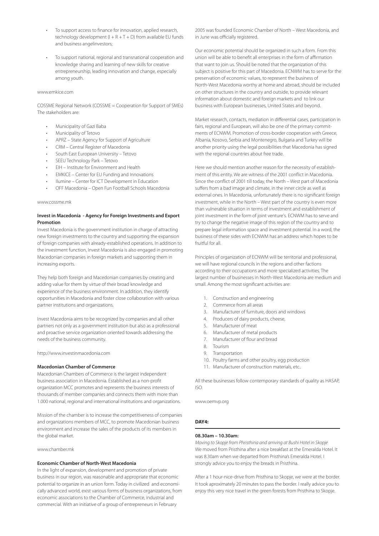- To support access to finance for innovation, applied research, technology development  $(I + R + T + D)$  from available EU funds and business angelinvestors;
- To support national, regional and transnational cooperation and knowledge sharing and learning of new skills for creative entrepreneurship, leading innovation and change, especially among youth.

#### www.emkice.com

COSSME Regional Network (COSSME = Cooperation for Support of SMEs) The stakeholders are:

- Municipality of Gazi Baba
- Municipality of Tetovo
- APRZ State Agency for Support of Agriculture
- CRM Central Register of Macedonia
- South East European University Tetovo
- SEEU Technology Park Tetovo
- EIH Institute for Environment and Health
- EMKICE Center for EU Funding and Innovations
- Ilumine Center for ICT Development in Education
- OFF Macedonia Open Fun Football Schools Macedonia

#### www.cossme.mk

#### **Invest in Macedonia - Agency for Foreign Investments and Export Promotion**

Invest Macedonia is the government institution in charge of attracting new foreign investments to the country and supporting the expansion of foreign companies with already-established operations. In addition to the investment function, Invest Macedonia is also engaged in promoting Macedonian companies in foreign markets and supporting them in increasing exports.

They help both foreign and Macedonian companies by creating and adding value for them by virtue of their broad knowledge and experience of the business environment. In addition, they identify opportunities in Macedonia and foster close collaboration with various partner institutions and organizations.

Invest Macedonia aims to be recognized by companies and all other partners not only as a government institution but also as a professional and proactive service organization oriented towards addressing the needs of the business community.

#### http://www.investinmacedonia.com

#### **Macedonian Chamber of Commerce**

Macedonian Chambers of Commerce is the largest independent business association in Macedonia. Established as a non-profit organization MCC promotes and represents the business interests of thousands of member companies and connects them with more than 1.000 national, regional and international institutions and organizations.

Mission of the chamber is to increase the competitiveness of companies and organizations members of MCC, to promote Macedonian business environment and increase the sales of the products of its members in the global market.

www.chamber.mk

#### **Economic Chamber of North-West Macedonia**

In the light of expansion, development and promotion of private business in our region, was reasonable and appropriate that economic potential to organize in an union form. Today in civilized and economically advanced world, exist various forms of business organizations, from economic associations to the Chamber of Commerce, industrial and commercial. With an initiative of a group of entrepreneurs in February

2005 was founded Economic Chamber of North – West Macedonia, and in June was officially registered.

Our economic potential should be organized in such a form. From this union will be able to benefit all enterprises in the form of affirmation that want to join us. Should be noted that the organization of this subject is positive for this part of Macedonia. ECNWM has to serve for the preservation of economic values, to represent the business of North-West Macedonia worthy at home and abroad, should be included on other structures in the country and outside, to provide relevant information about domestic and foreign markets and to link our business with European businesses, United States and beyond.

Market research, contacts, mediation in differential cases, participation in fairs, regional and European, will also be one of the primary commitments of ECNWM. Promotion of cross-border cooperation with Greece, Albania, Kosovo, Serbia and Montenegro, Bulgaria and Turkey will be another priority using the legal possibilities that Macedonia has signed with the regional countries about free trade.

Here we should mention another reason for the necessity of establishment of this entity. We are witness of the 2001 conflict in Macedonia. Since the conflict of 2001 till today, the North – West part of Macedonia suffers from a bad image and climate, in the inner circle as well as external ones. In Macedonia, unfortunately there is no significant foreign investment, while in the North – West part of the country is even more than vulnerable situation in terms of investment and establishment of joint investment in the form of joint venture's. ECNWM has to serve and try to change the negative image of this region of the country and to prepare legal information space and investment potential. In a word, the business of these sides with ECNWM has an address which hopes to be fruitful for all.

Principles of organization of ECNWM will be territorial and professional, we will have regional councils in the regions and other factions according to their occupations and more specialized activities. The largest number of businesses in North-West Macedonia are medium and small. Among the most significant activities are:

- 1. Construction and engineering
- 2. Commerce from all areas
- 3. Manufacturer of furniture, doors and windows
- 4. Producers of dairy products, cheese,
- 5. Manufacturer of meat
- 6. Manufacturer of metal products
- 7. Manufacturer of flour and bread
- 8. Tourism
- 9. Transportation
- 10. Poultry farms and other poultry, egg production
- 11. Manufacturer of construction materials, etc..

All these businesses follow contemporary standards of quality as HASAP, ISO.

www.oemvp.org

#### **DAY4:**

#### **08.30am – 10.30am:**

Moving to Skopje from Phristhina and arriving at Bushi Hotel in Skopje We moved from Pristhina after a nice breakfast at the Emeralda Hotel. It was 8.30am when we departed from Pristhina's Emeralda Hotel. I strongly advice you to enjoy the breads in Pristhina.

After a 1 hour-nice-drive from Pristhina to Skopje, we were at the border. It took aproximately 20 minutes to pass the border. I really advice you to enjoy this very nice travel in the green forests from Pristhina to Skopje.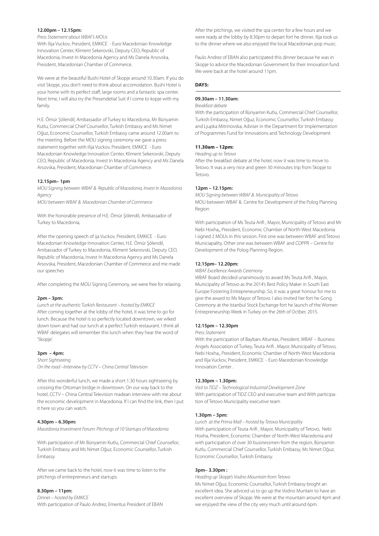#### **12.00pm – 12.15pm:**

#### Press Statement about WBAF's MOUs

With Ilija Vuckov, President, EMKICE - Euro Macedonian Knowledge Innovation Center, Kliment Sekerovski, Deputy CEO, Republic of Macedonia, Invest In Macedonia Agency and Ms Danela Arsovska, President, Macedonian Chamber of Commerce.

We were at the beautiful Bushi Hotel of Skopje around 10.30am. If you do visit Skopje, you don't need to think about accomodation. Bushi Hotel is your home with its perfect staff, large rooms and a fantastic spa center. Next time, I will also try the Presendetial Suit if I come to kopje with my family.

H.E. Ömür Şölendil, Ambassador of Turkey to Macedonia, Mr Bünyamin Kutlu, Commercial Chief Counsellor, Turkish Embassy and Ms Nimet Oğuz, Economic Counsellor, Turkish Embassy came around 12.00am to the meeting. Before the MOU signing ceremony we gave a press statement together with Ilija Vuckov, President, EMKICE - Euro Macedonian Knowledge Innovation Center, Kliment Sekerovski, Deputy CEO, Republic of Macedonia, Invest In Macedonia Agency and Ms Danela Arsovska, President, Macedonian Chamber of Commerce.

#### **12.15pm– 1pm**

MOU Signing between WBAF & Republic of Macedonia, Invest In Macedonia Agency

MOU between WBAF & Macedonian Chamber of Commerce

With the honorable presence of H.E. Ömür Şölendil, Ambassador of Turkey to Macedonia,

After the opening speech of ija Vuckov, President, EMKICE - Euro Macedonian Knowledge Innovation Center, H.E. Ömür Şölendil, Ambassador of Turkey to Macedonia, Kliment Sekerovski, Deputy CEO, Republic of Macedonia, Invest In Macedonia Agency and Ms Danela Arsovska, President, Macedonian Chamber of Commerce and me made our speeches

After completing the MOU Signing Ceremony, we were free for relaxing.

#### **2pm – 3pm:**

Lunch at the authentic Turkish Restaurant – hosted by EMKICE After coming together at the lobby of the hotel, it was time to go for lunch. Because the hotel is so perfectly located downtown, we wlked down town and had our lunch at a perfect Turkish restaurant. I think all WBAF delegates will remember this lunch when they hear the word of 'Skopje'.

#### **3pm – 4pm:**

Short Sightseeing On the road –Interview by CCTV – China Central Television

After this wonderful lunch, we made a short 1.30 hours sightseeing by crossing the Ottoman bridge in downtown. On our way back to the hotel, CCTV – China Central Television madean interview with me about the economic development in Macedonia. If I can find the link, then I put it here so you can watch.

#### **4.30pm – 6.30pm:**

Macedonia Investment Forum: Pitchings of 10 Startups of Macedonia

With participation of Mr Bünyamin Kutlu, Commercial Chief Counsellor, Turkish Embassy and Ms Nimet Oğuz, Economic Counsellor, Turkish Embassy

After we came back to the hotel, now it was time to listen to the pitchings of entrepreneurs and startups.

#### **8.30pm – 11pm:**

Dinner – hosted by EMKICE With participation of Paulo Andrez, Emeritus President of EBAN

After the pitchings, we visited the spa center for a few hours and we were ready at the lobby by 8.30pm to depart fort he dinner. Ilija took us to the dinner where we also enjoyed the local Macedonian pop music.

Paulo Andrez of EBAN also participated this dinner because he was in Skopje to advice the Macedonian Government for their innovation fund. We were back at the hotel around 11pm.

#### **DAY5:**

#### **09.30am – 11.30am:**

### Breakfast debate

With the participation of Bünyamin Kutlu, Commercial Chief Counsellor, Turkish Embassy, Nimet Oğuz, Economic Counsellor, Turkish Embassy and Ljupka Mitrinovska, Adviser in the Department for Implementation of Programmes Fund for Innovations and Technology Development

#### **11.30am – 12pm:**

Heading up to Tetovo

After the breakfast debate at the hotel, now it was time to move to Tetovo. It was a very nice and green 30 minoutes trip from Skopje to Tetovo.

#### **12pm – 12.15pm:**

MOU Signing between WBAF & Municipality of Tetovo MOU between WBAF & Centre for Development of the Polog Planning Region

With participation of Ms Teuta Arifi , Mayor, Municipality of Tetovo and Mr Nebi Hoxha,, President, Economic Chamber of North-West Macedonia I signed 2 MOUs in this session. First one was between WBAF and Tetovo Municiapality. Other one was between WBAF and CDPPR – Centre for Development of the Polog Planning Region.

#### **12.15pm– 12.20pm:**

WBAF Excellence Awards Ceremony

WBAF Board decided unanimously to award Ms Teuta Arifi , Mayor, Municipality of Tetovo as the 2014's Best Policy Maker in South East Europe Fostering Entrepreneurship. So, it was a great honour for me to give the award to Ms Mayor of Tetovo. I also invited her fort he Gong Ceremony at the Istanbul Stock Exchange fort he launch of the Women Entrepreneurship Week in Turkey on the 26th of Octber, 2015.

#### **12.15pm – 12.30pm**

#### Press Statement

With the participation of Baybars Altuntas, President, WBAF – Business Angels Association of Turkey, Teuta Arifi , Mayor, Municipality of Tetovo, Nebi Hoxha,, President, Economic Chamber of North-West Macedonia and Ilija Vuckov, President, EMKICE - Euro Macedonian Knowledge Innovation Center .

#### **12.30pm – 1.30pm:**

Visit to TIDZ – Technological Industrial Development Zone With participation of TIDZ CEO and executive team and With participation of Tetovo Municipality executive team

#### **1.30pm – 3pm:**

Lunch at the Prima Mall – hosted by Tetova Municipality With participation of Teuta Arifi , Mayor, Municipality of Tetovo, Nebi Hoxha, President, Economic Chamber of North-West Macedonia and with participation of over 30 businessmen from the region, Bünyamin Kutlu, Commercial Chief Counsellor, Turkish Embassy, Ms Nimet Oğuz, Economic Counsellor, Turkish Embassy.

#### **3pm– 3.30pm :**

Heading up Skopje's Vodno Mountain from Tetovo Ms Nimet Oğuz, Economic Counsellor, Turkish Embassy broght an excellent idea. She adviced us to go up the Vodno Muntain to have an excellent overview of Skopje. We were at the mountain around 4pm and we enjoyed the view of the city very much until around 6pm.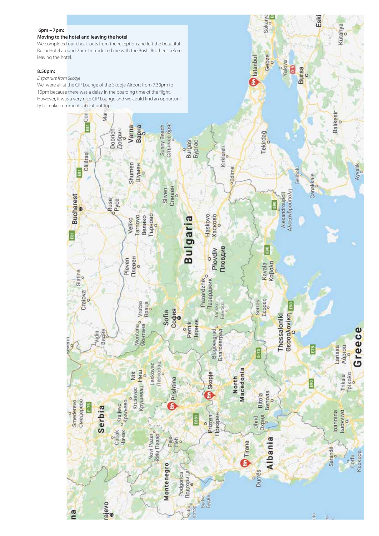#### **6pm – 7pm:**

#### **Moving to the hotel and leaving the hotel**

We completed our check-outs from the reception and left the beautiful Bushi Hotel around 7pm. tintroduced me with the Bushi Brothers before leaving the hotel.

#### **8.50pm:**

Departure from Skopje

We were all at the CIP Lounge of the Skopje Airport from 7.30pm to 10pm because there was a delay in the boarding time of the flight. However, it was a very nice CIP Lounge and we could find an oppurtunity to make comments about out trip.



Sakarya

Gebze

**evoley** 8 **Bursa**  Eski

Kütahya